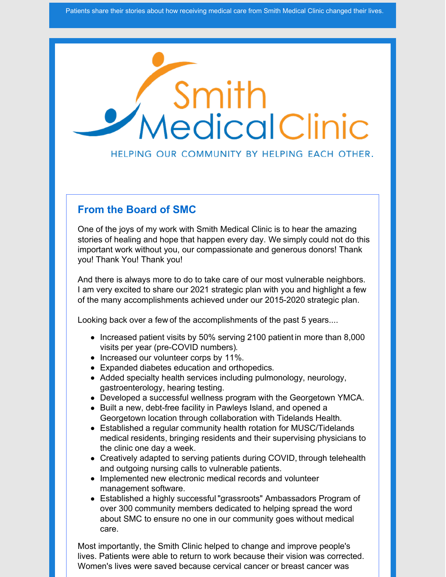

#### HELPING OUR COMMUNITY BY HELPING EACH OTHER.

#### **From the Board of SMC**

One of the joys of my work with Smith Medical Clinic is to hear the amazing stories of healing and hope that happen every day. We simply could not do this important work without you, our compassionate and generous donors! Thank you! Thank You! Thank you!

And there is always more to do to take care of our most vulnerable neighbors. I am very excited to share our 2021 strategic plan with you and highlight a few of the many accomplishments achieved under our 2015-2020 strategic plan.

Looking back over a few of the accomplishments of the past 5 years....

- Increased patient visits by 50% serving 2100 patient in more than 8,000 visits per year (pre-COVID numbers).
- Increased our volunteer corps by 11%.
- Expanded diabetes education and orthopedics.
- Added specialty health services including pulmonology, neurology, gastroenterology, hearing testing.
- Developed a successful wellness program with the Georgetown YMCA.
- Built a new, debt-free facility in Pawleys Island, and opened a Georgetown location through collaboration with Tidelands Health.
- Established a regular community health rotation for MUSC/Tidelands medical residents, bringing residents and their supervising physicians to the clinic one day a week.
- Creatively adapted to serving patients during COVID, through telehealth and outgoing nursing calls to vulnerable patients.
- Implemented new electronic medical records and volunteer management software.
- Established a highly successful "grassroots" Ambassadors Program of over 300 community members dedicated to helping spread the word about SMC to ensure no one in our community goes without medical care.

Most importantly, the Smith Clinic helped to change and improve people's lives. Patients were able to return to work because their vision was corrected. Women's lives were saved because cervical cancer or breast cancer was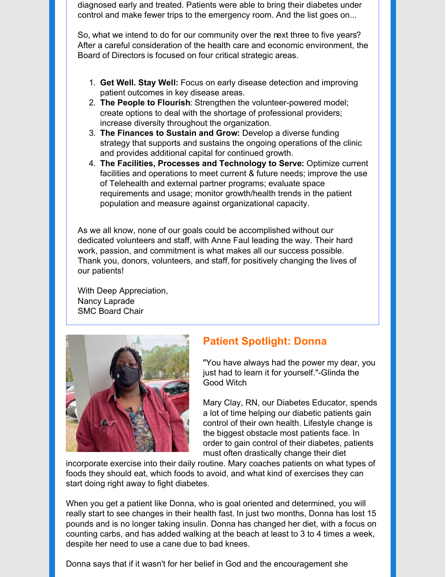diagnosed early and treated. Patients were able to bring their diabetes under control and make fewer trips to the emergency room. And the list goes on...

So, what we intend to do for our community over the next three to five years? After a careful consideration of the health care and economic environment, the Board of Directors is focused on four critical strategic areas.

- 1. **Get Well. Stay Well:** Focus on early disease detection and improving patient outcomes in key disease areas.
- 2. **The People to Flourish**: Strengthen the volunteer-powered model; create options to deal with the shortage of professional providers; increase diversity throughout the organization.
- 3. **The Finances to Sustain and Grow:** Develop a diverse funding strategy that supports and sustains the ongoing operations of the clinic and provides additional capital for continued growth.
- 4. **The Facilities, Processes and Technology to Serve:** Optimize current facilities and operations to meet current & future needs; improve the use of Telehealth and external partner programs; evaluate space requirements and usage; monitor growth/health trends in the patient population and measure against organizational capacity.

As we all know, none of our goals could be accomplished without our dedicated volunteers and staff, with Anne Faul leading the way. Their hard work, passion, and commitment is what makes all our success possible. Thank you, donors, volunteers, and staff, for positively changing the lives of our patients!

With Deep Appreciation, Nancy Laprade SMC Board Chair



### **Patient Spotlight: Donna**

"You have always had the power my dear, you just had to learn it for yourself."-Glinda the Good Witch

Mary Clay, RN, our Diabetes Educator, spends a lot of time helping our diabetic patients gain control of their own health. Lifestyle change is the biggest obstacle most patients face. In order to gain control of their diabetes, patients must often drastically change their diet

incorporate exercise into their daily routine. Mary coaches patients on what types of foods they should eat, which foods to avoid, and what kind of exercises they can start doing right away to fight diabetes.

When you get a patient like Donna, who is goal oriented and determined, you will really start to see changes in their health fast. In just two months, Donna has lost 15 pounds and is no longer taking insulin. Donna has changed her diet, with a focus on counting carbs, and has added walking at the beach at least to 3 to 4 times a week, despite her need to use a cane due to bad knees.

Donna says that if it wasn't for her belief in God and the encouragement she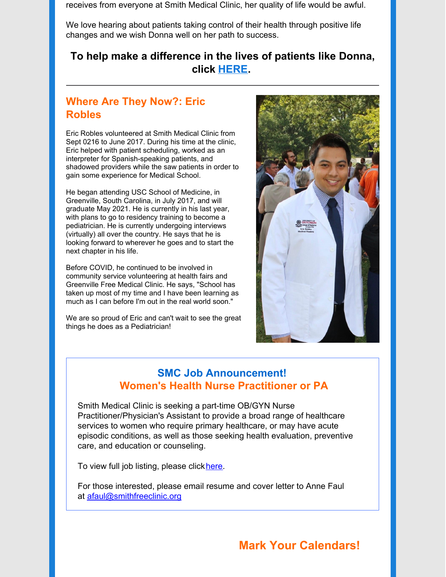receives from everyone at Smith Medical Clinic, her quality of life would be awful.

We love hearing about patients taking control of their health through positive life changes and we wish Donna well on her path to success.

#### **To help make a difference in the lives of patients like Donna, click [HERE](https://smithfreeclinic.org/donate).**

#### **Where Are They Now?: Eric Robles**

Eric Robles volunteered at Smith Medical Clinic from Sept 0216 to June 2017. During his time at the clinic, Eric helped with patient scheduling, worked as an interpreter for Spanish-speaking patients, and shadowed providers while the saw patients in order to gain some experience for Medical School.

He began attending USC School of Medicine, in Greenville, South Carolina, in July 2017, and will graduate May 2021. He is currently in his last year, with plans to go to residency training to become a pediatrician. He is currently undergoing interviews (virtually) all over the country. He says that he is looking forward to wherever he goes and to start the next chapter in his life.

Before COVID, he continued to be involved in community service volunteering at health fairs and Greenville Free Medical Clinic. He says, "School has taken up most of my time and I have been learning as much as I can before I'm out in the real world soon."

We are so proud of Eric and can't wait to see the great things he does as a Pediatrician!



#### **SMC Job Announcement! Women's Health Nurse Practitioner or PA**

Smith Medical Clinic is seeking a part-time OB/GYN Nurse Practitioner/Physician's Assistant to provide a broad range of healthcare services to women who require primary healthcare, or may have acute episodic conditions, as well as those seeking health evaluation, preventive care, and education or counseling.

To view full job listing, please click[here](https://www.ziprecruiter.com/jobs/smith-medical-clinic-inc-23268924/womens-health-nurse-practitioner-or-pa-f2cf7be9?source=share-facebook&fbclid=IwAR17Epu3JlGtbIaUci22r55nzL5L-4OUsfhKevgd1ssYF4fSMytsViw-x0k&tsid=100001000).

For those interested, please email resume and cover letter to Anne Faul at [afaul@smithfreeclinic.org](mailto:afaul@smithfreeclinic.org)

## **Mark Your Calendars!**